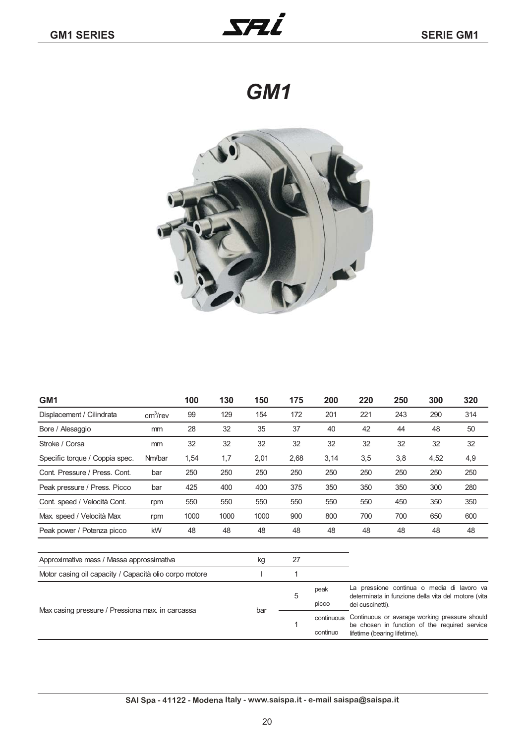*GM1*



| GM <sub>1</sub>                                        |                      | 100  | 130  | 150  | 175  | 200  | 220 | 250 | 300  | 320 |
|--------------------------------------------------------|----------------------|------|------|------|------|------|-----|-----|------|-----|
| Displacement / Cilindrata                              | cm <sup>3</sup> /rev | 99   | 129  | 154  | 172  | 201  | 221 | 243 | 290  | 314 |
| Bore / Alesaggio                                       | mm                   | 28   | 32   | 35   | 37   | 40   | 42  | 44  | 48   | 50  |
| Stroke / Corsa                                         | mm                   | 32   | 32   | 32   | 32   | 32   | 32  | 32  | 32   | 32  |
| Specific torque / Coppia spec.                         | Nm/bar               | 1,54 | 1,7  | 2,01 | 2,68 | 3,14 | 3,5 | 3,8 | 4,52 | 4,9 |
| Cont. Pressure / Press. Cont.                          | bar                  | 250  | 250  | 250  | 250  | 250  | 250 | 250 | 250  | 250 |
| Peak pressure / Press. Picco                           | bar                  | 425  | 400  | 400  | 375  | 350  | 350 | 350 | 300  | 280 |
| Cont. speed / Velocità Cont.                           | rpm                  | 550  | 550  | 550  | 550  | 550  | 550 | 450 | 350  | 350 |
| Max. speed / Velocità Max                              | rpm                  | 1000 | 1000 | 1000 | 900  | 800  | 700 | 700 | 650  | 600 |
| Peak power / Potenza picco                             | kW                   | 48   | 48   | 48   | 48   | 48   | 48  | 48  | 48   | 48  |
|                                                        |                      |      |      |      |      |      |     |     |      |     |
| Approximative mass / Massa approssimativa              |                      |      | kg   | 27   |      |      |     |     |      |     |
| Motor casing oil capacity / Capacità olio corpo motore |                      |      |      |      | 1    |      |     |     |      |     |

| Max casing pressure / Pressiona max. in carcassa | bar | peak<br><b>DICCO</b> | La pressione continua o media di lavoro va<br>determinata in funzione della vita del motore (vita<br>dei cuscinetti).                     |
|--------------------------------------------------|-----|----------------------|-------------------------------------------------------------------------------------------------------------------------------------------|
|                                                  |     | continuo             | continuous Continuous or avarage working pressure should<br>be chosen in function of the required service<br>lifetime (bearing lifetime). |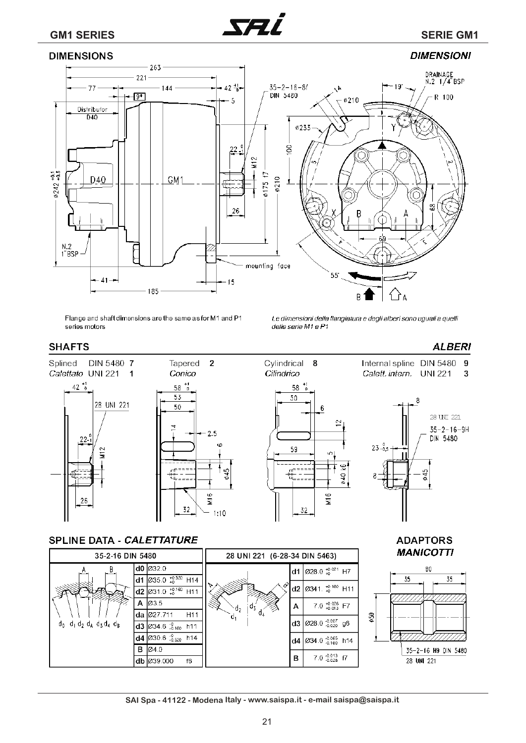**DIMENSIONS** 



## **DIMENSIONI**



Flange and shaft dimensions are the same as for M1 and P1 series motors

Le dimensioni della flangiatura e degli alberi sono uguali a quelli delle serie M1 e P1

**ADAPTORS** 

#### **SHAFTS**



#### SPLINE DATA - CALETTATURE

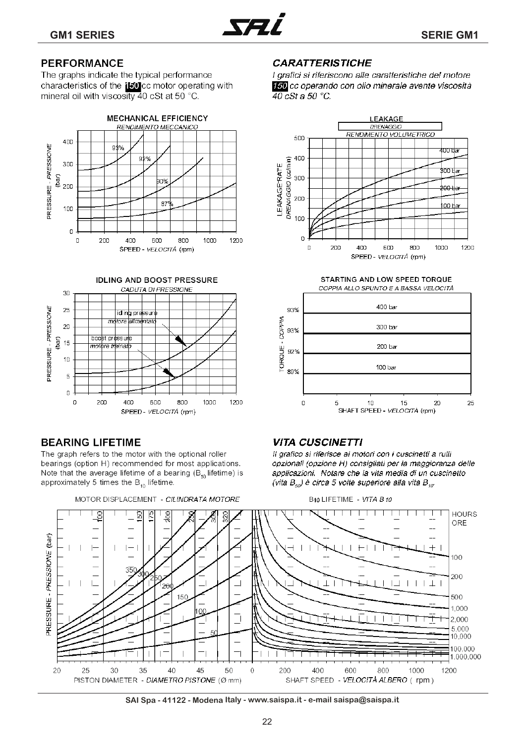

## **PERFORMANCE**

The graphs indicate the typical performance characteristics of the illucc motor operating with mineral oil with viscosity 40 cSt at 50 °C.





## **BEARING LIFETIME**

The graph refers to the motor with the optional roller bearings (option H) recommended for most applications. Note that the average lifetime of a bearing  $(B_{\epsilon_0})$  lifetime) is approximately 5 times the  $B_{10}$  lifetime.

## **CARATTERISTICHE**

I grafici si riferiscono alle caratteristiche del motore 150 cc operando con olio minerale avente viscosità  $\overline{40}$  cSt a 50 °C.



STARTING AND LOW SPEED TORQUE COPPIA ALLO SPUNTO E A BASSA VELOCITÀ



### **VITA CUSCINETTI**

Il grafico si riferisce ai motori con i cuscinetti a rulli opzionali (opzione H) consigliati per la maggioranza delle applicazioni. Notare che la vita media di un cuscinetto (vita  $B_{so}$ ) è circa 5 volte superiore alla vita  $B_{so}$ 



SAI Spa - 41122 - Modena Italy - www.saispa.it - e-mail saispa@saispa.it